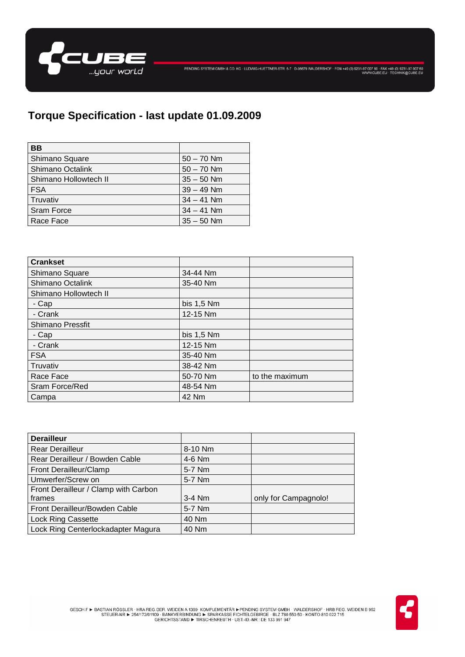

## **Torque Specification - last update 01.09.2009**

| BВ                    |              |
|-----------------------|--------------|
| Shimano Square        | $50 - 70$ Nm |
| Shimano Octalink      | $50 - 70$ Nm |
| Shimano Hollowtech II | $35 - 50$ Nm |
| <b>FSA</b>            | $39 - 49$ Nm |
| Truvativ              | $34 - 41$ Nm |
| <b>Sram Force</b>     | $34 - 41$ Nm |
| Race Face             | $35 - 50$ Nm |

| <b>Crankset</b>         |              |                |
|-------------------------|--------------|----------------|
| Shimano Square          | 34-44 Nm     |                |
| Shimano Octalink        | 35-40 Nm     |                |
| Shimano Hollowtech II   |              |                |
| - Cap                   | bis $1,5$ Nm |                |
| - Crank                 | 12-15 Nm     |                |
| <b>Shimano Pressfit</b> |              |                |
| - Cap                   | bis 1,5 Nm   |                |
| - Crank                 | 12-15 Nm     |                |
| <b>FSA</b>              | 35-40 Nm     |                |
| Truvativ                | 38-42 Nm     |                |
| Race Face               | 50-70 Nm     | to the maximum |
| Sram Force/Red          | 48-54 Nm     |                |
| Campa                   | 42 Nm        |                |

| <b>Derailleur</b>                    |          |                      |
|--------------------------------------|----------|----------------------|
| <b>Rear Derailleur</b>               | 8-10 Nm  |                      |
| Rear Derailleur / Bowden Cable       | 4-6 Nm   |                      |
| Front Derailleur/Clamp               | 5-7 Nm   |                      |
| Umwerfer/Screw on                    | 5-7 Nm   |                      |
| Front Derailleur / Clamp with Carbon |          |                      |
| frames                               | $3-4$ Nm | only for Campagnolo! |
| Front Derailleur/Bowden Cable        | 5-7 Nm   |                      |
| <b>Lock Ring Cassette</b>            | 40 Nm    |                      |
| Lock Ring Centerlockadapter Magura   | 40 Nm    |                      |

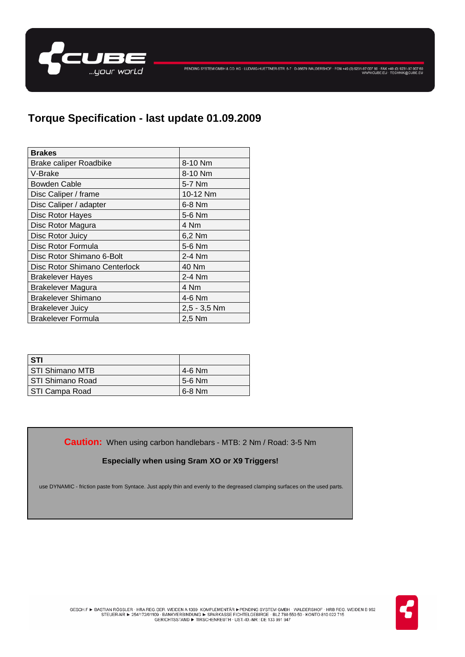

PENDING SYSTEM GMBH & CO. KG · LUDWIG-HUETTNER-STR. 5-7 · D-95679 WALDERSHOF · FON +49 (0) 9231-97 007 80 · FAX +49 (0) 9231-97 007 80<br>WWW.CUBE.EU · TECHNIK@CUBE.EU

| <b>Brakes</b>                 |              |
|-------------------------------|--------------|
| <b>Brake caliper Roadbike</b> | 8-10 Nm      |
| V-Brake                       | 8-10 Nm      |
| <b>Bowden Cable</b>           | 5-7 Nm       |
| Disc Caliper / frame          | 10-12 Nm     |
| Disc Caliper / adapter        | 6-8 Nm       |
| Disc Rotor Hayes              | 5-6 Nm       |
| Disc Rotor Magura             | 4 Nm         |
| Disc Rotor Juicy              | 6,2 Nm       |
| Disc Rotor Formula            | 5-6 Nm       |
| Disc Rotor Shimano 6-Bolt     | $2-4$ Nm     |
| Disc Rotor Shimano Centerlock | 40 Nm        |
| <b>Brakelever Hayes</b>       | 2-4 Nm       |
| <b>Brakelever Magura</b>      | 4 Nm         |
| <b>Brakelever Shimano</b>     | 4-6 Nm       |
| <b>Brakelever Juicy</b>       | 2,5 - 3,5 Nm |
| <b>Brakelever Formula</b>     | 2,5 Nm       |

| ' STI              |          |
|--------------------|----------|
| STI Shimano MTB    | 4-6 Nm   |
| l STI Shimano Road | 5-6 Nm   |
| STI Campa Road     | $6-8$ Nm |

**Caution:** When using carbon handlebars - MTB: 2 Nm / Road: 3-5 Nm

### **Especially when using Sram XO or X9 Triggers!**

use DYNAMIC - friction paste from Syntace. Just apply thin and evenly to the degreased clamping surfaces on the used parts.

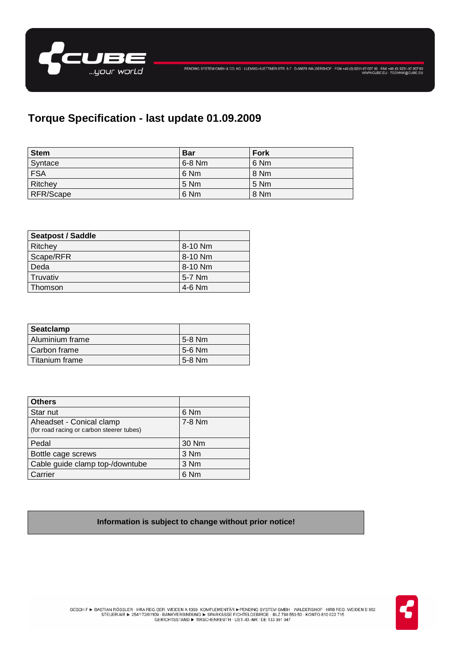

# **Torque Specification - last update 01.09.2009**

| <b>Stem</b> | <b>Bar</b> | <b>Fork</b> |
|-------------|------------|-------------|
| Syntace     | $6-8$ Nm   | 6 Nm        |
| <b>FSA</b>  | 6 Nm       | 8 Nm        |
| Ritchey     | 5 Nm       | 5 Nm        |
| RFR/Scape   | 6 Nm       | 8 Nm        |

| <b>Seatpost / Saddle</b> |           |
|--------------------------|-----------|
| Ritchey                  | 8-10 Nm   |
| Scape/RFR                | $8-10$ Nm |
| Deda                     | 8-10 Nm   |
| Truvativ                 | 5-7 Nm    |
| Thomson                  | $4-6$ Nm  |

| Seatclamp       |          |
|-----------------|----------|
| Aluminium frame | 5-8 Nm   |
| l Carbon frame  | 5-6 Nm   |
| Titanium frame  | $5-8$ Nm |

| <b>Others</b>                                                         |          |
|-----------------------------------------------------------------------|----------|
| Star nut                                                              | 6 Nm     |
| Aheadset - Conical clamp<br>(for road racing or carbon steerer tubes) | $7-8$ Nm |
| Pedal                                                                 | 30 Nm    |
| Bottle cage screws                                                    | 3 Nm     |
| Cable guide clamp top-/downtube                                       | 3 Nm     |
| Carrier                                                               | 6 Nm     |

#### **Information is subject to change without prior notice!**